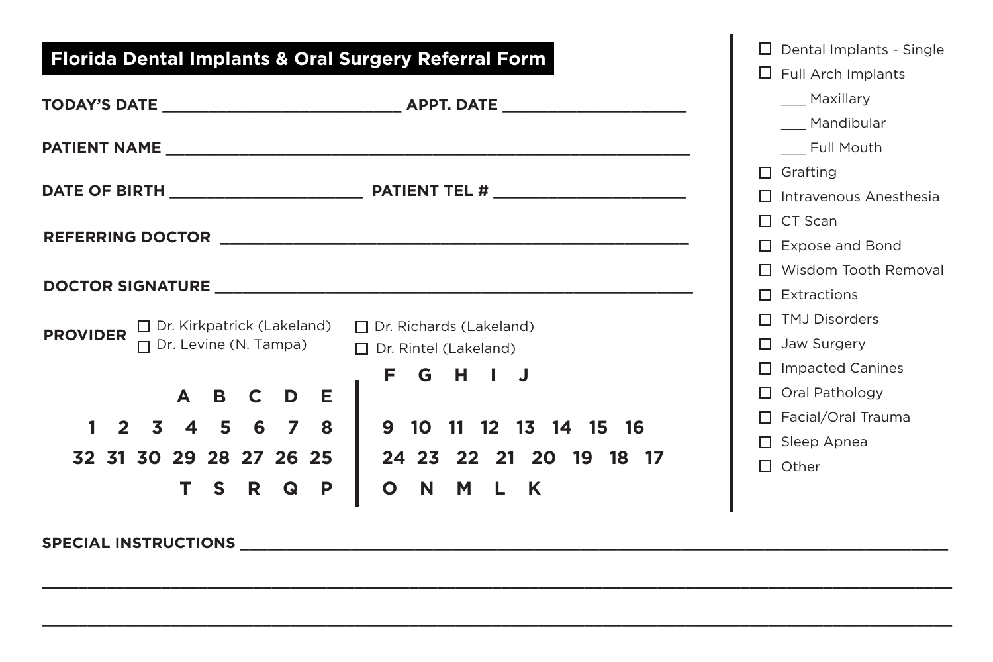#### **Florida Dental Implants & Oral Surgery Referral Form REFERRING DOCTOR \_\_\_\_\_\_\_\_\_\_\_\_\_\_\_\_\_\_\_\_\_\_\_\_\_\_\_\_\_\_\_\_\_\_\_\_\_\_\_\_\_\_\_\_\_\_\_\_\_\_\_ DOCTOR SIGNATURE \_\_\_\_\_\_\_\_\_\_\_\_\_\_\_\_\_\_\_\_\_\_\_\_\_\_\_\_\_\_\_\_\_\_\_\_\_\_\_\_\_\_\_\_\_\_\_\_\_\_\_\_ PROVIDER** Dr. Kirkpatrick (Lakeland) Dr. Richards (Lakeland)<br>  $\blacksquare$  Dr. Lavine (N. Tampe)  $\blacksquare$  Dr. Richards (Lakeland) **A B C D E 1 2 3 4 5 6 7 8 32 31 30 29 28 27 26 25 T S R Q P 9 10 11 12 13 14 15 16 24 23 22 21 20 19 18 17 O N M L K**  $\square$  Dental Implants - Single  $\Box$  Full Arch Implants \_\_\_ Maxillary \_\_\_ Mandibular \_\_\_ Full Mouth  $\Box$  Grafting  $\Pi$  Intravenous Anesthesia  $\Box$  CT Scan  $\Box$  Expose and Bond Wisdom Tooth Removal  $\Pi$  Extractions  $\Pi$  TMJ Disorders  $\Box$  Jaw Surgery  $\Box$  Impacted Canines □ Oral Pathology Facial/Oral Trauma  $\square$  Sleep Apnea  $\Pi$  Other  $\Box$  Dr. Levine (N. Tampa) **F G H I J**  $\Pi$  Dr. Rintel (Lakeland) **TODAY'S DATE \_\_\_\_\_\_\_\_\_\_\_\_\_\_\_\_\_\_\_\_\_\_\_\_\_\_ APPT. DATE \_\_\_\_\_\_\_\_\_\_\_\_\_\_\_\_\_\_\_\_ PATIENT NAME DATE OF BIRTH \_\_\_\_\_\_\_\_\_\_\_\_\_\_\_\_\_\_\_\_\_ PATIENT TEL # \_\_\_\_\_\_\_\_\_\_\_\_\_\_\_\_\_\_\_\_\_**

**\_\_\_\_\_\_\_\_\_\_\_\_\_\_\_\_\_\_\_\_\_\_\_\_\_\_\_\_\_\_\_\_\_\_\_\_\_\_\_\_\_\_\_\_\_\_\_\_\_\_\_\_\_\_\_\_\_\_\_\_\_\_\_\_\_\_\_\_\_\_\_\_\_\_\_\_\_\_\_\_\_\_\_\_\_\_\_\_\_\_\_\_\_\_\_\_\_\_\_**

**\_\_\_\_\_\_\_\_\_\_\_\_\_\_\_\_\_\_\_\_\_\_\_\_\_\_\_\_\_\_\_\_\_\_\_\_\_\_\_\_\_\_\_\_\_\_\_\_\_\_\_\_\_\_\_\_\_\_\_\_\_\_\_\_\_\_\_\_\_\_\_\_\_\_\_\_\_\_\_\_\_\_\_\_\_\_\_\_\_\_\_\_\_\_\_\_\_\_\_**

**SPECIAL INSTRUCTIONS \_\_\_\_\_\_\_\_\_\_\_\_\_\_\_\_\_\_\_\_\_\_\_\_\_\_\_\_\_\_\_\_\_\_\_\_\_\_\_\_\_\_\_\_\_\_\_\_\_\_\_\_\_\_\_\_\_\_\_\_\_\_\_\_\_\_\_\_\_\_\_\_\_\_\_\_\_**